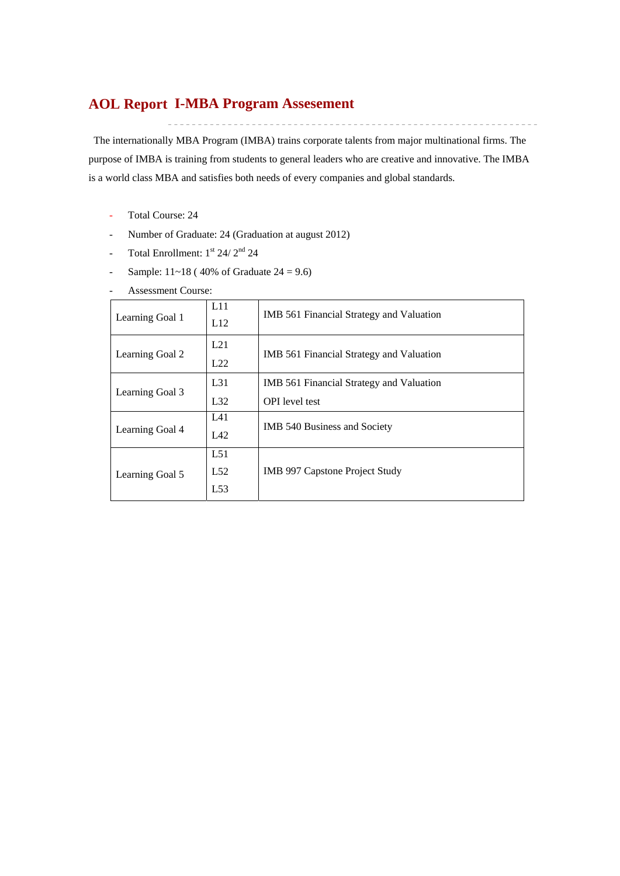## **I-MBA Program Assesement AOL Report**

The internationally MBA Program (IMBA) trains corporate talents from major multinational firms. The purpose of IMBA is training from students to general leaders who are creative and innovative. The IMBA is a world class MBA and satisfies both needs of every companies and global standards.

- Total Course: 24
- Number of Graduate: 24 (Graduation at august 2012)
- Total Enrollment:  $1<sup>st</sup> 24/ 2<sup>nd</sup> 24$
- Sample:  $11~18$  (40% of Graduate  $24 = 9.6$ )

| <b>Assessment Course:</b> |  |
|---------------------------|--|
|                           |  |

| Learning Goal 1 | L11<br>L12        | IMB 561 Financial Strategy and Valuation                          |
|-----------------|-------------------|-------------------------------------------------------------------|
| Learning Goal 2 | L21<br>L22        | IMB 561 Financial Strategy and Valuation                          |
| Learning Goal 3 | $L_{31}$<br>L32   | IMB 561 Financial Strategy and Valuation<br><b>OPI</b> level test |
| Learning Goal 4 | L41<br>L42        | <b>IMB 540 Business and Society</b>                               |
| Learning Goal 5 | L51<br>L52<br>L53 | <b>IMB 997 Capstone Project Study</b>                             |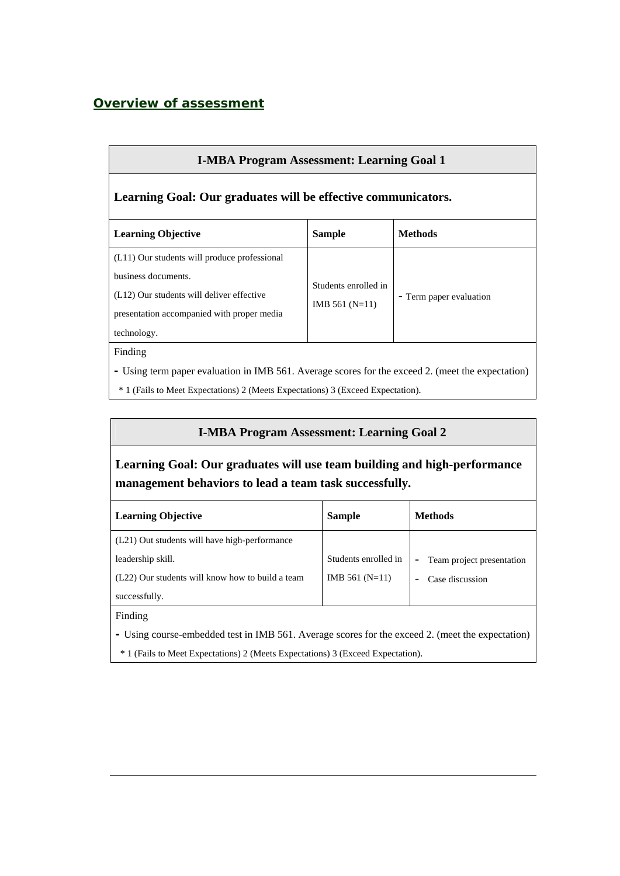## *Overview of assessment*

| <b>I-MBA Program Assessment: Learning Goal 1</b>                                                                                                                                                |                                          |                         |  |  |  |  |  |  |  |  |  |
|-------------------------------------------------------------------------------------------------------------------------------------------------------------------------------------------------|------------------------------------------|-------------------------|--|--|--|--|--|--|--|--|--|
| Learning Goal: Our graduates will be effective communicators.                                                                                                                                   |                                          |                         |  |  |  |  |  |  |  |  |  |
| <b>Learning Objective</b>                                                                                                                                                                       | <b>Sample</b>                            | <b>Methods</b>          |  |  |  |  |  |  |  |  |  |
| (L11) Our students will produce professional<br>business documents.<br>(L12) Our students will deliver effective<br>presentation accompanied with proper media<br>technology.                   | Students enrolled in<br>IMB $561$ (N=11) | - Term paper evaluation |  |  |  |  |  |  |  |  |  |
| Finding<br>- Using term paper evaluation in IMB 561. Average scores for the exceed 2. (meet the expectation)<br>* 1 (Fails to Meet Expectations) 2 (Meets Expectations) 3 (Exceed Expectation). |                                          |                         |  |  |  |  |  |  |  |  |  |

## **I-MBA Program Assessment: Learning Goal 2**

# **Learning Goal: Our graduates will use team building and high-performance management behaviors to lead a team task successfully.**

| <b>Learning Objective</b>                        | <b>Sample</b>        | <b>Methods</b>                  |
|--------------------------------------------------|----------------------|---------------------------------|
| (L21) Out students will have high-performance    |                      |                                 |
| leadership skill.                                | Students enrolled in | Team project presentation<br>Ξ. |
| (L22) Our students will know how to build a team | IMB $561$ (N=11)     | Case discussion                 |
| successfully.                                    |                      |                                 |

Finding

**-** Using course-embedded test in IMB 561. Average scores for the exceed 2. (meet the expectation)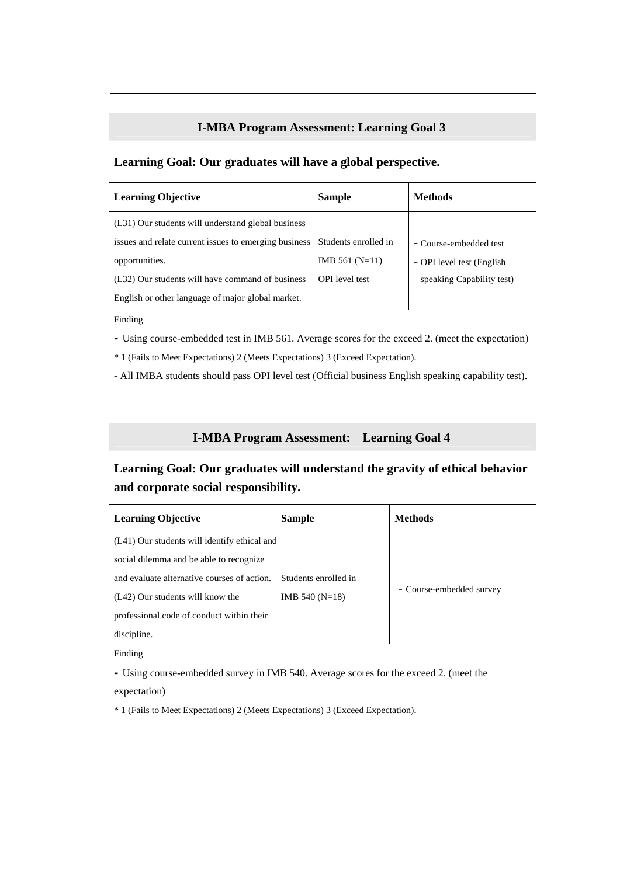#### **I-MBA Program Assessment: Learning Goal 3**

### **Learning Goal: Our graduates will have a global perspective.**

| <b>Learning Objective</b>                             | <b>Sample</b>         | <b>Methods</b>             |  |  |  |  |  |
|-------------------------------------------------------|-----------------------|----------------------------|--|--|--|--|--|
| (L31) Our students will understand global business    |                       |                            |  |  |  |  |  |
| issues and relate current issues to emerging business | Students enrolled in  | - Course-embedded test     |  |  |  |  |  |
| opportunities.                                        | IMB $561$ (N=11)      | - OPI level test (English) |  |  |  |  |  |
| (L32) Our students will have command of business      | <b>OPI</b> level test | speaking Capability test)  |  |  |  |  |  |
| English or other language of major global market.     |                       |                            |  |  |  |  |  |

Finding

**-** Using course-embedded test in IMB 561. Average scores for the exceed 2. (meet the expectation)

\* 1 (Fails to Meet Expectations) 2 (Meets Expectations) 3 (Exceed Expectation).

- All IMBA students should pass OPI level test (Official business English speaking capability test).

#### **I-MBA Program Assessment: Learning Goal 4**

# **Learning Goal: Our graduates will understand the gravity of ethical behavior and corporate social responsibility.**

| <b>Learning Objective</b>                    | <b>Sample</b>        | <b>Methods</b>           |
|----------------------------------------------|----------------------|--------------------------|
| (L41) Our students will identify ethical and |                      |                          |
| social dilemma and be able to recognize      |                      |                          |
| and evaluate alternative courses of action.  | Students enrolled in |                          |
| (L42) Our students will know the             | IMB 540 $(N=18)$     | - Course-embedded survey |
| professional code of conduct within their    |                      |                          |
| discipline.                                  |                      |                          |

Finding

**-** Using course-embedded survey in IMB 540. Average scores for the exceed 2. (meet the

expectation)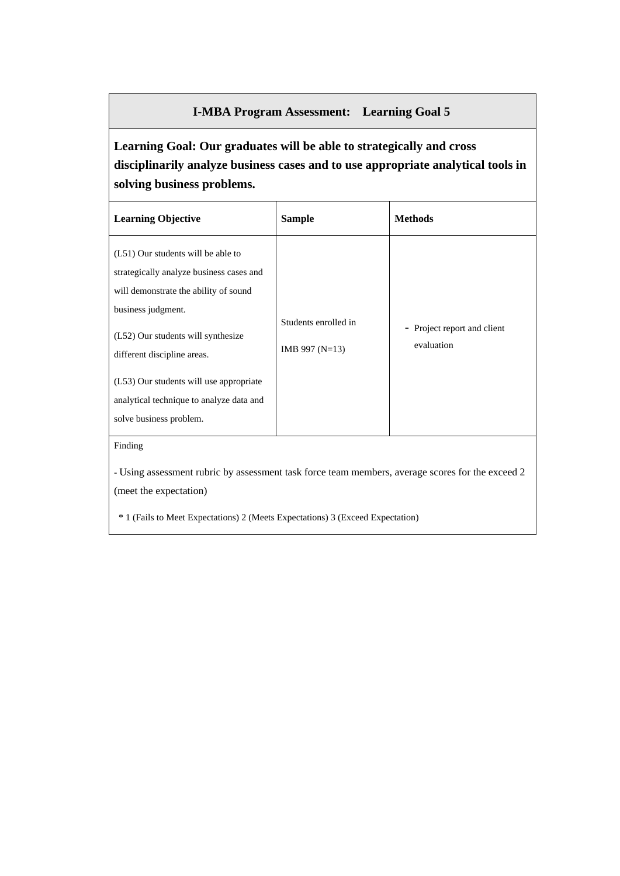#### **I-MBA Program Assessment: Learning Goal 5**

# **Learning Goal: Our graduates will be able to strategically and cross disciplinarily analyze business cases and to use appropriate analytical tools in solving business problems.**

\* 1 (Fails to Meet Expectations) 2 (Meets Expectations) 3 (Exceed Expectation)

(meet the expectation)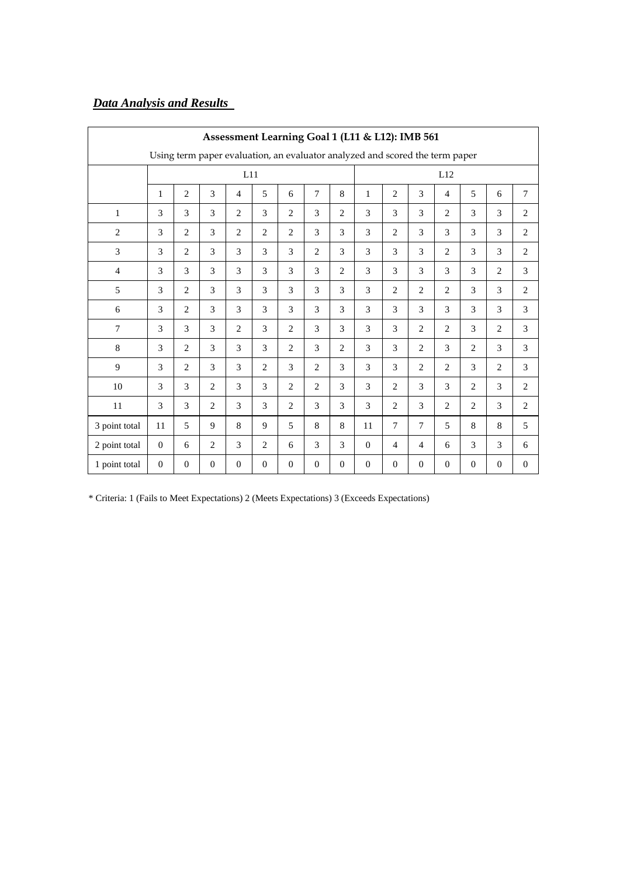# *Data Analysis and Results*

|                | Assessment Learning Goal 1 (L11 & L12): IMB 561 |                |                |                |                |                |                |                |                                                                              |                |                |                |                |                |                |
|----------------|-------------------------------------------------|----------------|----------------|----------------|----------------|----------------|----------------|----------------|------------------------------------------------------------------------------|----------------|----------------|----------------|----------------|----------------|----------------|
|                |                                                 |                |                |                |                |                |                |                | Using term paper evaluation, an evaluator analyzed and scored the term paper |                |                |                |                |                |                |
|                |                                                 |                |                | L11            |                |                |                |                |                                                                              |                |                | L12            |                |                |                |
|                | $\mathbf{1}$                                    | $\overline{2}$ | 3              | $\overline{4}$ | 5              | 6              | $\tau$         | 8              | 1                                                                            | $\overline{c}$ | 3              | $\overline{4}$ | 5              | 6              | $\overline{7}$ |
| $\mathbf{1}$   | 3                                               | 3              | 3              | $\overline{2}$ | 3              | $\overline{2}$ | 3              | $\overline{2}$ | 3                                                                            | 3              | 3              | $\overline{2}$ | 3              | 3              | $\overline{2}$ |
| $\overline{2}$ | 3                                               | 2              | 3              | 2              | 2              | $\overline{2}$ | 3              | 3              | 3                                                                            | $\overline{c}$ | 3              | 3              | 3              | 3              | $\overline{2}$ |
| 3              | 3                                               | 2              | 3              | 3              | 3              | 3              | 2              | 3              | 3                                                                            | 3              | 3              | $\overline{2}$ | 3              | 3              | $\overline{2}$ |
| $\overline{4}$ | 3                                               | 3              | 3              | 3              | 3              | 3              | 3              | $\overline{c}$ | 3                                                                            | 3              | 3              | 3              | 3              | $\overline{2}$ | 3              |
| 5              | 3                                               | 2              | 3              | 3              | 3              | 3              | 3              | 3              | 3                                                                            | $\overline{c}$ | $\overline{2}$ | $\overline{2}$ | 3              | 3              | 2              |
| 6              | 3                                               | 2              | 3              | 3              | 3              | 3              | 3              | 3              | 3                                                                            | 3              | 3              | 3              | 3              | 3              | 3              |
| 7              | 3                                               | 3              | 3              | $\overline{2}$ | 3              | 2              | 3              | 3              | 3                                                                            | 3              | $\overline{2}$ | $\overline{2}$ | 3              | $\overline{2}$ | 3              |
| $\,8\,$        | 3                                               | 2              | 3              | 3              | 3              | $\overline{2}$ | 3              | $\overline{2}$ | 3                                                                            | 3              | $\overline{2}$ | 3              | $\overline{2}$ | 3              | 3              |
| 9              | 3                                               | 2              | 3              | 3              | 2              | 3              | 2              | 3              | 3                                                                            | 3              | $\overline{2}$ | 2              | 3              | 2              | 3              |
| 10             | 3                                               | 3              | 2              | 3              | 3              | $\overline{2}$ | $\overline{2}$ | 3              | 3                                                                            | $\overline{2}$ | 3              | 3              | $\overline{2}$ | 3              | $\mathbf{2}$   |
| 11             | 3                                               | 3              | 2              | 3              | 3              | $\mathbf{2}$   | 3              | 3              | 3                                                                            | $\overline{2}$ | 3              | $\mathbf{2}$   | $\mathbf{2}$   | 3              | $\overline{2}$ |
| 3 point total  | 11                                              | 5              | 9              | 8              | 9              | 5              | 8              | 8              | 11                                                                           | $\tau$         | $\overline{7}$ | 5              | 8              | 8              | 5              |
| 2 point total  | $\mathbf{0}$                                    | 6              | $\overline{2}$ | 3              | $\overline{2}$ | 6              | 3              | 3              | $\mathbf{0}$                                                                 | 4              | $\overline{4}$ | 6              | 3              | 3              | 6              |
| 1 point total  | $\mathbf{0}$                                    | $\overline{0}$ | $\mathbf{0}$   | $\overline{0}$ | $\mathbf{0}$   | $\mathbf{0}$   | $\mathbf{0}$   | $\overline{0}$ | $\mathbf{0}$                                                                 | $\overline{0}$ | $\mathbf{0}$   | $\mathbf{0}$   | $\mathbf{0}$   | $\theta$       | $\mathbf{0}$   |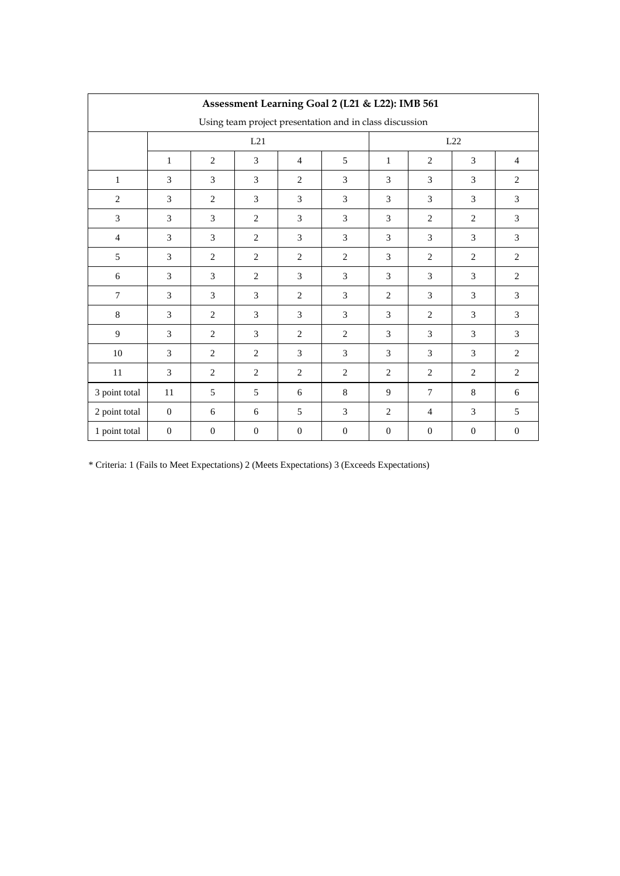|                | Assessment Learning Goal 2 (L21 & L22): IMB 561 |              |                |                |                                                         |                     |                |              |                |  |  |  |  |
|----------------|-------------------------------------------------|--------------|----------------|----------------|---------------------------------------------------------|---------------------|----------------|--------------|----------------|--|--|--|--|
|                |                                                 |              |                |                | Using team project presentation and in class discussion |                     |                |              |                |  |  |  |  |
|                |                                                 |              | L21            |                |                                                         |                     | L22            |              |                |  |  |  |  |
|                | $\mathbf{1}$                                    | $\mathbf{2}$ | 3              | $\overline{4}$ | 5                                                       | $\mathbf{1}$        | 2              | 3            | $\overline{4}$ |  |  |  |  |
| $\mathbf{1}$   | 3                                               | 3            | 3              | 2              | 3                                                       | 3                   | 3              | 3            | $\overline{c}$ |  |  |  |  |
| $\mathbf{2}$   | 3                                               | $\mathbf{2}$ | 3              | 3              | 3                                                       | 3                   | 3              | 3            | 3              |  |  |  |  |
| 3              | 3                                               | 3            | $\mathbf{2}$   | 3              | 3                                                       | 3                   | $\overline{c}$ | 2            | 3              |  |  |  |  |
| $\overline{4}$ | 3                                               | 3            | $\overline{2}$ | 3              | 3                                                       | 3                   | 3              | 3            | 3              |  |  |  |  |
| 5              | 3                                               | $\mathbf{2}$ | $\overline{c}$ | $\overline{c}$ | $\overline{c}$                                          | 3                   | $\overline{c}$ | $\mathbf{2}$ | $\overline{c}$ |  |  |  |  |
| $6\,$          | 3                                               | 3            | $\overline{c}$ | 3              | 3                                                       | 3                   | $\overline{3}$ | 3            | $\overline{c}$ |  |  |  |  |
| $\tau$         | 3                                               | 3            | 3              | $\overline{c}$ | 3                                                       | 3<br>$\overline{c}$ |                | 3            | 3              |  |  |  |  |
| 8              | 3                                               | $\mathbf{2}$ | 3              | 3              | 3                                                       | 3                   | 2              | 3            | 3              |  |  |  |  |
| 9              | 3                                               | $\mathbf{2}$ | 3              | 2              | $\overline{c}$                                          | 3                   | 3              | 3            | 3              |  |  |  |  |
| 10             | 3                                               | $\mathbf{2}$ | $\mathbf{2}$   | 3              | 3                                                       | 3                   | 3              | 3            | $\overline{c}$ |  |  |  |  |
| $11\,$         | 3                                               | $\mathbf{2}$ | $\overline{c}$ | $\overline{c}$ | $\overline{c}$                                          | $\overline{2}$      | $\overline{c}$ | $\mathbf{2}$ | $\overline{c}$ |  |  |  |  |
| 3 point total  | 11                                              | 5            | 5              | 6              | 8                                                       | 9                   | $\tau$         | 8            | 6              |  |  |  |  |
| 2 point total  | $\overline{0}$                                  | 6            | 6              | 5              | 3                                                       | 2                   | $\overline{4}$ | 3            | 5              |  |  |  |  |
| 1 point total  | $\overline{0}$                                  | $\mathbf{0}$ | $\mathbf{0}$   | $\mathbf{0}$   | $\mathbf{0}$                                            | $\boldsymbol{0}$    | $\overline{0}$ | $\mathbf{0}$ | $\mathbf{0}$   |  |  |  |  |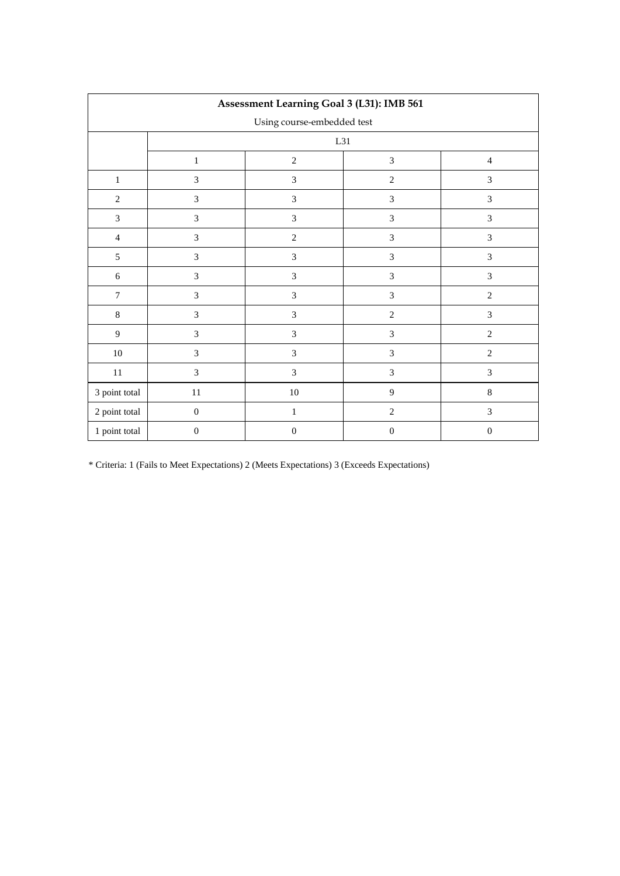|                  | Assessment Learning Goal 3 (L31): IMB 561 |                             |                  |                  |  |  |  |  |  |  |  |  |
|------------------|-------------------------------------------|-----------------------------|------------------|------------------|--|--|--|--|--|--|--|--|
|                  |                                           | Using course-embedded test  |                  |                  |  |  |  |  |  |  |  |  |
|                  |                                           | L31                         |                  |                  |  |  |  |  |  |  |  |  |
|                  | $\mathbf{1}$                              | $\sqrt{2}$                  | $\mathfrak{Z}$   | $\overline{4}$   |  |  |  |  |  |  |  |  |
| $\mathbf{1}$     | $\mathfrak{Z}$                            | $\mathfrak{Z}$              | $\sqrt{2}$       | 3                |  |  |  |  |  |  |  |  |
| $\overline{2}$   | $\mathfrak{Z}$                            | $\overline{3}$              | $\mathfrak{Z}$   | $\mathfrak{Z}$   |  |  |  |  |  |  |  |  |
| $\overline{3}$   | $\mathfrak{Z}$                            | $\mathfrak{Z}$              | $\mathfrak{Z}$   | $\mathfrak{Z}$   |  |  |  |  |  |  |  |  |
| $\overline{4}$   | $\mathfrak{Z}$                            | $\sqrt{2}$                  | $\mathfrak 3$    | $\mathfrak{Z}$   |  |  |  |  |  |  |  |  |
| 5                | $\ensuremath{\mathfrak{Z}}$               | $\ensuremath{\mathfrak{Z}}$ | $\sqrt{3}$       | $\mathfrak{Z}$   |  |  |  |  |  |  |  |  |
| $\sqrt{6}$       | $\mathfrak{Z}$                            | $\ensuremath{\mathfrak{Z}}$ | $\mathfrak 3$    | $\mathfrak{Z}$   |  |  |  |  |  |  |  |  |
| $\boldsymbol{7}$ | $\mathfrak{Z}$                            | $\ensuremath{\mathfrak{Z}}$ | $\mathfrak{Z}$   | $\overline{c}$   |  |  |  |  |  |  |  |  |
| $\,8\,$          | $\mathfrak{Z}$                            | $\mathfrak{Z}$              | $\overline{2}$   | $\mathfrak{Z}$   |  |  |  |  |  |  |  |  |
| $\overline{9}$   | $\mathfrak{Z}$                            | $\mathfrak{Z}$              | 3                | $\mathbf{2}$     |  |  |  |  |  |  |  |  |
| $10\,$           | $\mathfrak{Z}$                            | $\mathfrak{Z}$              | $\overline{3}$   | $\sqrt{2}$       |  |  |  |  |  |  |  |  |
| $11\,$           | $\mathfrak{Z}$                            | $\overline{3}$              | $\mathfrak{Z}$   | $\mathfrak{Z}$   |  |  |  |  |  |  |  |  |
| 3 point total    | $11\,$                                    | $10\,$                      | $\overline{9}$   | $\,8\,$          |  |  |  |  |  |  |  |  |
| 2 point total    | $\boldsymbol{0}$                          | $\mathbf{1}$                | $\sqrt{2}$       | $\mathfrak{Z}$   |  |  |  |  |  |  |  |  |
| 1 point total    | $\boldsymbol{0}$                          | $\boldsymbol{0}$            | $\boldsymbol{0}$ | $\boldsymbol{0}$ |  |  |  |  |  |  |  |  |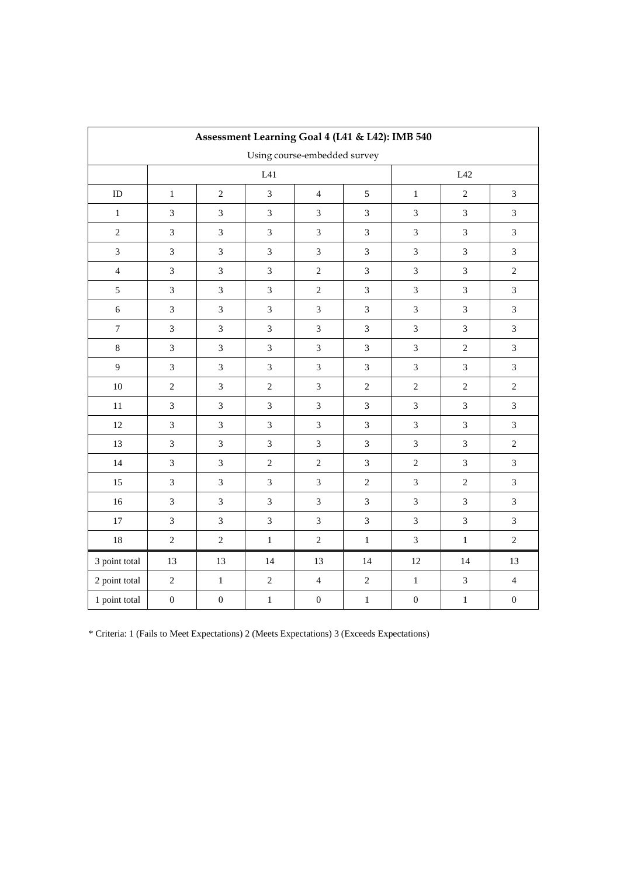|                  |                             | Assessment Learning Goal 4 (L41 & L42): IMB 540 |                             |                              |                |                             |                             |                  |
|------------------|-----------------------------|-------------------------------------------------|-----------------------------|------------------------------|----------------|-----------------------------|-----------------------------|------------------|
|                  |                             |                                                 |                             | Using course-embedded survey |                |                             |                             |                  |
|                  |                             |                                                 | $\rm L41$                   |                              |                | L42                         |                             |                  |
| ${\rm ID}$       | $\mathbf 1$                 | $\sqrt{2}$                                      | $\mathfrak{Z}$              | $\overline{4}$               | $\mathfrak s$  | $\,1$                       | $\sqrt{2}$                  | $\overline{3}$   |
| $\,1$            | $\sqrt{3}$                  | $\ensuremath{\mathfrak{Z}}$                     | $\ensuremath{\mathfrak{Z}}$ | $\mathfrak{Z}$               | $\mathfrak{Z}$ | $\ensuremath{\mathfrak{Z}}$ | $\mathfrak{Z}$              | 3                |
| $\sqrt{2}$       | $\mathfrak{Z}$              | $\sqrt{3}$                                      | $\mathfrak{Z}$              | $\mathfrak{Z}$               | 3              | $\mathfrak{Z}$              | $\mathfrak{Z}$              | $\overline{3}$   |
| $\overline{3}$   | $\mathfrak 3$               | $\ensuremath{\mathfrak{Z}}$                     | $\sqrt{3}$                  | $\mathfrak{Z}$               | $\mathfrak 3$  | $\ensuremath{\mathfrak{Z}}$ | $\mathfrak{Z}$              | 3                |
| $\overline{4}$   | $\mathfrak{Z}$              | $\ensuremath{\mathfrak{Z}}$                     | $\sqrt{3}$                  | $\sqrt{2}$                   | $\mathfrak{Z}$ | $\mathfrak{Z}$              | $\mathfrak{Z}$              | $\sqrt{2}$       |
| $\sqrt{5}$       | $\mathfrak 3$               | $\ensuremath{\mathfrak{Z}}$                     | $\sqrt{3}$                  | $\sqrt{2}$                   | $\mathfrak 3$  | $\ensuremath{\mathfrak{Z}}$ | $\ensuremath{\mathfrak{Z}}$ | $\mathfrak{Z}$   |
| $\sqrt{6}$       | $\mathfrak{Z}$              | $\mathfrak 3$                                   | $\ensuremath{\mathfrak{Z}}$ | $\mathfrak{Z}$               | $\mathfrak{Z}$ | $\mathfrak{Z}$              | $\mathfrak{Z}$              | 3                |
| $\boldsymbol{7}$ | $\sqrt{3}$                  | $\ensuremath{\mathfrak{Z}}$                     | $\sqrt{3}$                  | $\mathfrak{Z}$               | $\sqrt{3}$     | $\ensuremath{\mathfrak{Z}}$ | $\mathfrak 3$               | $\mathfrak{Z}$   |
| $\,8\,$          | $\sqrt{3}$                  | $\ensuremath{\mathfrak{Z}}$                     | $\ensuremath{\mathfrak{Z}}$ | $\ensuremath{\mathfrak{Z}}$  | $\mathfrak{Z}$ | $\ensuremath{\mathfrak{Z}}$ | $\overline{2}$              | $\mathfrak{Z}$   |
| 9                | $\mathfrak{Z}$              | $\mathfrak 3$                                   | $\mathfrak{Z}$              | $\mathfrak{Z}$               | $\mathfrak{Z}$ | $\mathfrak{Z}$              | $\mathfrak{Z}$              | 3                |
| $10\,$           | $\sqrt{2}$                  | $\ensuremath{\mathfrak{Z}}$                     | $\sqrt{2}$                  | $\mathfrak{Z}$               | $\sqrt{2}$     | $\sqrt{2}$                  | $\sqrt{2}$                  | $\sqrt{2}$       |
| 11               | $\mathfrak 3$               | $\ensuremath{\mathfrak{Z}}$                     | 3                           | $\mathfrak{Z}$               | $\mathfrak 3$  | $\mathfrak{Z}$              | $\mathfrak{Z}$              | 3                |
| 12               | $\mathfrak 3$               | $\ensuremath{\mathfrak{Z}}$                     | $\sqrt{3}$                  | $\mathfrak{Z}$               | $\mathfrak 3$  | $\mathfrak{Z}$              | $\mathfrak{Z}$              | $\mathfrak{Z}$   |
| 13               | $\mathfrak 3$               | $\ensuremath{\mathfrak{Z}}$                     | 3                           | $\mathfrak{Z}$               | $\mathfrak 3$  | $\mathfrak{Z}$              | $\mathfrak{Z}$              | $\sqrt{2}$       |
| 14               | $\ensuremath{\mathfrak{Z}}$ | $\ensuremath{\mathfrak{Z}}$                     | $\sqrt{2}$                  | $\sqrt{2}$                   | $\mathfrak{Z}$ | $\sqrt{2}$                  | $\mathfrak{Z}$              | $\overline{3}$   |
| 15               | $\sqrt{3}$                  | $\ensuremath{\mathfrak{Z}}$                     | $\mathfrak{Z}$              | $\mathfrak{Z}$               | $\sqrt{2}$     | $\mathfrak{Z}$              | $\sqrt{2}$                  | 3                |
| 16               | $\mathfrak{Z}$              | $\mathfrak 3$                                   | $\mathfrak{Z}$              | $\mathfrak{Z}$               | $\mathfrak{Z}$ | $\mathfrak{Z}$              | $\overline{3}$              | $\overline{3}$   |
| 17               | $\mathfrak{Z}$              | $\mathfrak 3$                                   | 3                           | $\mathfrak{Z}$               | 3              | $\mathfrak{Z}$              | $\mathfrak{Z}$              | $\overline{3}$   |
| $18\,$           | $\sqrt{2}$                  | $\sqrt{2}$                                      | $\,1$                       | $\sqrt{2}$                   | $\,1\,$        | $\mathfrak{Z}$              | $\,1\,$                     | $\sqrt{2}$       |
| 3 point total    | 13                          | 13                                              | 14                          | 13                           | 14             | 12                          | 14                          | 13               |
| 2 point total    | $\sqrt{2}$                  | $\,1\,$                                         | $\sqrt{2}$                  | $\overline{4}$               | $\sqrt{2}$     | $\mathbf 1$                 | $\sqrt{3}$                  | $\overline{4}$   |
| 1 point total    | $\boldsymbol{0}$            | $\boldsymbol{0}$                                | $\,1$                       | $\boldsymbol{0}$             | $\,1$          | $\boldsymbol{0}$            | $\,1$                       | $\boldsymbol{0}$ |